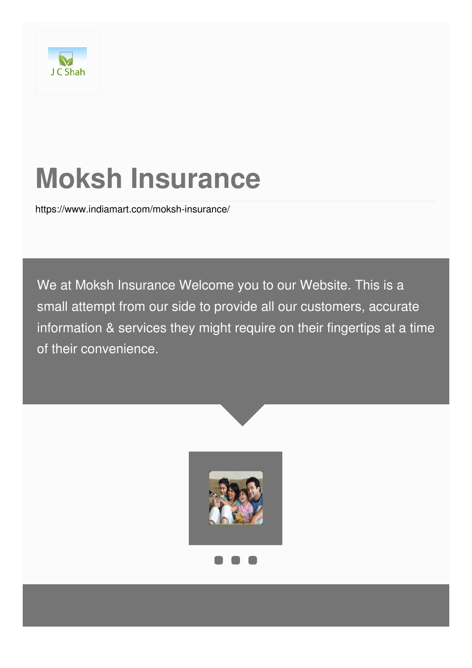

# **Moksh Insurance**

<https://www.indiamart.com/moksh-insurance/>

We at Moksh Insurance Welcome you to our Website. This is a small attempt from our side to provide all our customers, accurate information & services they might require on their fingertips at a time of their convenience.

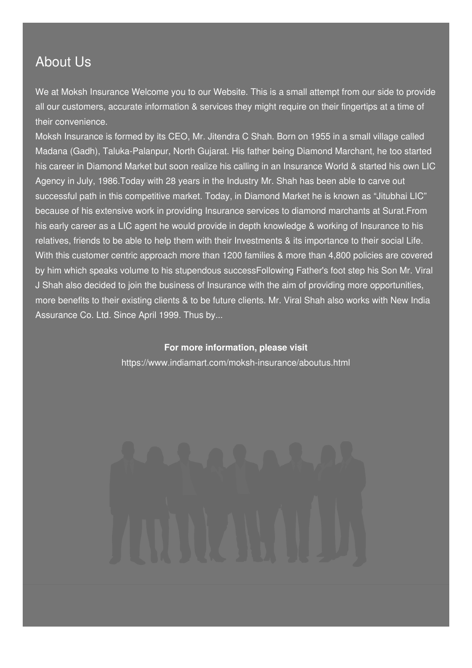### About Us

We at Moksh Insurance Welcome you to our Website. This is a small attempt from our side to provide all our customers, accurate information & services they might require on their fingertips at a time of their convenience.

Moksh Insurance is formed by its CEO, Mr. Jitendra C Shah. Born on 1955 in a small village called Madana (Gadh), Taluka-Palanpur, North Gujarat. His father being Diamond Marchant, he too started his career in Diamond Market but soon realize his calling in an Insurance World & started his own LIC Agency in July, 1986.Today with 28 years in the Industry Mr. Shah has been able to carve out successful path in this competitive market. Today, in Diamond Market he is known as "Jitubhai LIC" because of his extensive work in providing Insurance services to diamond marchants at Surat.From his early career as a LIC agent he would provide in depth knowledge & working of Insurance to his relatives, friends to be able to help them with their Investments & its importance to their social Life. With this customer centric approach more than 1200 families & more than 4,800 policies are covered by him which speaks volume to his stupendous successFollowing Father's foot step his Son Mr. Viral J Shah also decided to join the business of Insurance with the aim of providing more opportunities, more benefits to their existing clients & to be future clients. Mr. Viral Shah also works with New India Assurance Co. Ltd. Since April 1999. Thus by...

> **For more information, please visit** <https://www.indiamart.com/moksh-insurance/aboutus.html>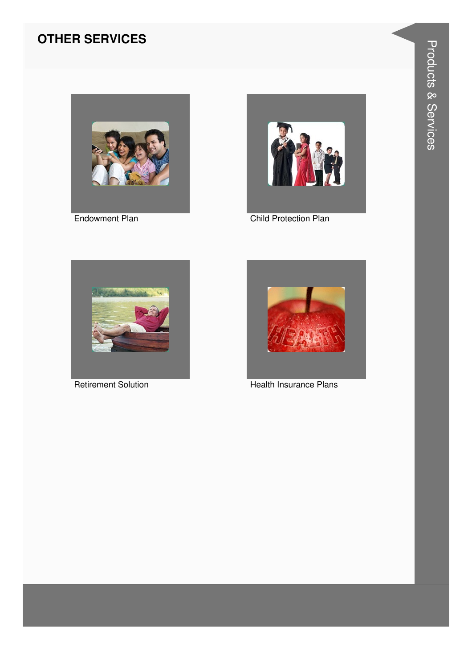#### **OTHER SERVICES**



**Endowment Plan** 



Child Protection Plan



**Retirement Solution** 



**Health Insurance Plans**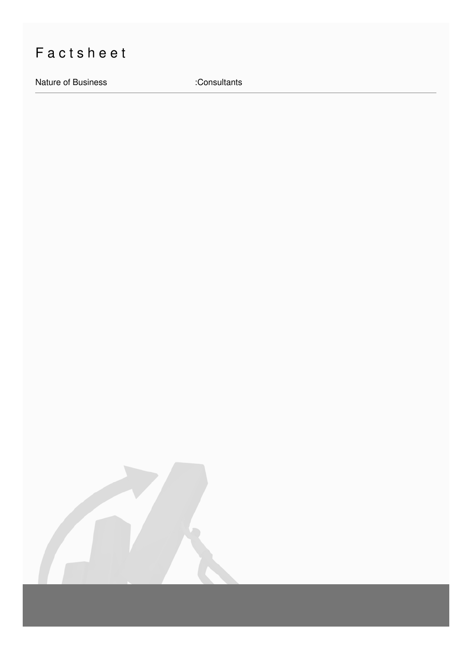## Factsheet

Nature of Business **in the Consultants** :Consultants